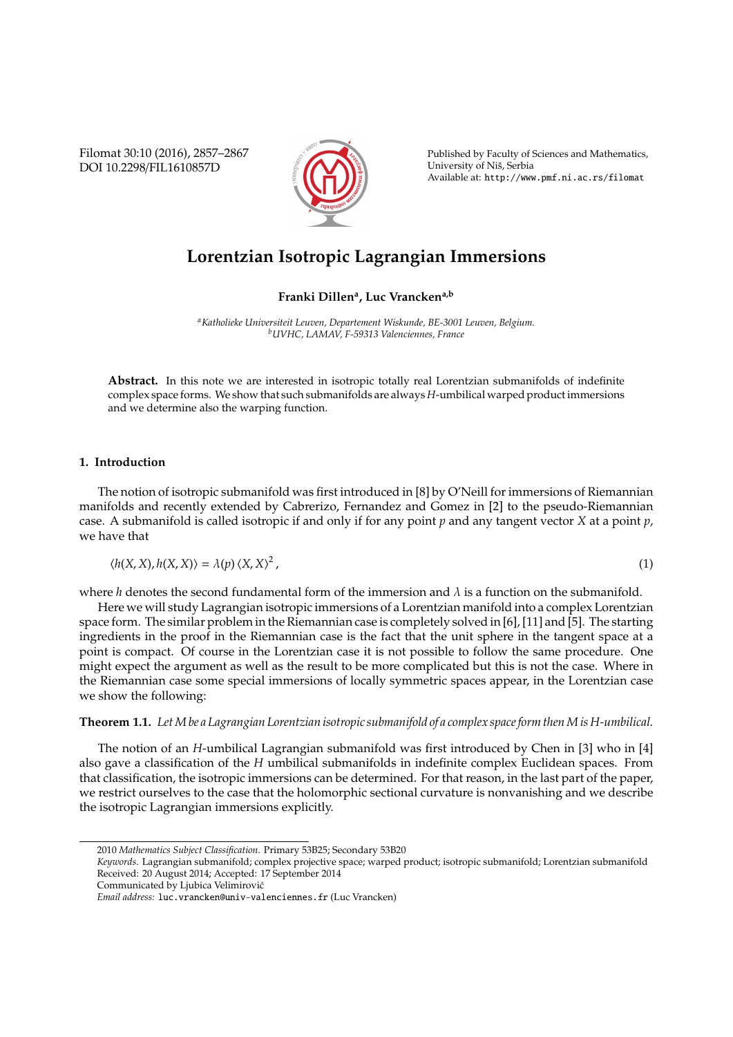Filomat 30:10 (2016), 2857–2867 DOI 10.2298/FIL1610857D



Published by Faculty of Sciences and Mathematics, University of Nis, Serbia ˇ Available at: http://www.pmf.ni.ac.rs/filomat

# **Lorentzian Isotropic Lagrangian Immersions**

## **Franki Dillen<sup>a</sup> , Luc Vranckena,b**

*<sup>a</sup>Katholieke Universiteit Leuven, Departement Wiskunde, BE-3001 Leuven, Belgium. <sup>b</sup>UVHC, LAMAV, F-59313 Valenciennes, France*

**Abstract.** In this note we are interested in isotropic totally real Lorentzian submanifolds of indefinite complex space forms. We show that such submanifolds are always *H*-umbilical warped product immersions and we determine also the warping function.

#### **1. Introduction**

The notion of isotropic submanifold was first introduced in [8] by O'Neill for immersions of Riemannian manifolds and recently extended by Cabrerizo, Fernandez and Gomez in [2] to the pseudo-Riemannian case. A submanifold is called isotropic if and only if for any point *p* and any tangent vector *X* at a point *p*, we have that

 $\langle h(X, X), h(X, X) \rangle = \lambda(p) \langle X, X \rangle^2$ ,  $(1)$ 

where *h* denotes the second fundamental form of the immersion and  $\lambda$  is a function on the submanifold.

Here we will study Lagrangian isotropic immersions of a Lorentzian manifold into a complex Lorentzian space form. The similar problem in the Riemannian case is completely solved in [6], [11] and [5]. The starting ingredients in the proof in the Riemannian case is the fact that the unit sphere in the tangent space at a point is compact. Of course in the Lorentzian case it is not possible to follow the same procedure. One might expect the argument as well as the result to be more complicated but this is not the case. Where in the Riemannian case some special immersions of locally symmetric spaces appear, in the Lorentzian case we show the following:

## **Theorem 1.1.** *LetM be a Lagrangian Lorentzian isotropic submanifold of a complex space form thenM is H-umbilical.*

The notion of an *H*-umbilical Lagrangian submanifold was first introduced by Chen in [3] who in [4] also gave a classification of the *H* umbilical submanifolds in indefinite complex Euclidean spaces. From that classification, the isotropic immersions can be determined. For that reason, in the last part of the paper, we restrict ourselves to the case that the holomorphic sectional curvature is nonvanishing and we describe the isotropic Lagrangian immersions explicitly.

Communicated by Ljubica Velimirovic´

<sup>2010</sup> *Mathematics Subject Classification*. Primary 53B25; Secondary 53B20

*Keywords*. Lagrangian submanifold; complex projective space; warped product; isotropic submanifold; Lorentzian submanifold Received: 20 August 2014; Accepted: 17 September 2014

*Email address:* luc.vrancken@univ-valenciennes.fr (Luc Vrancken)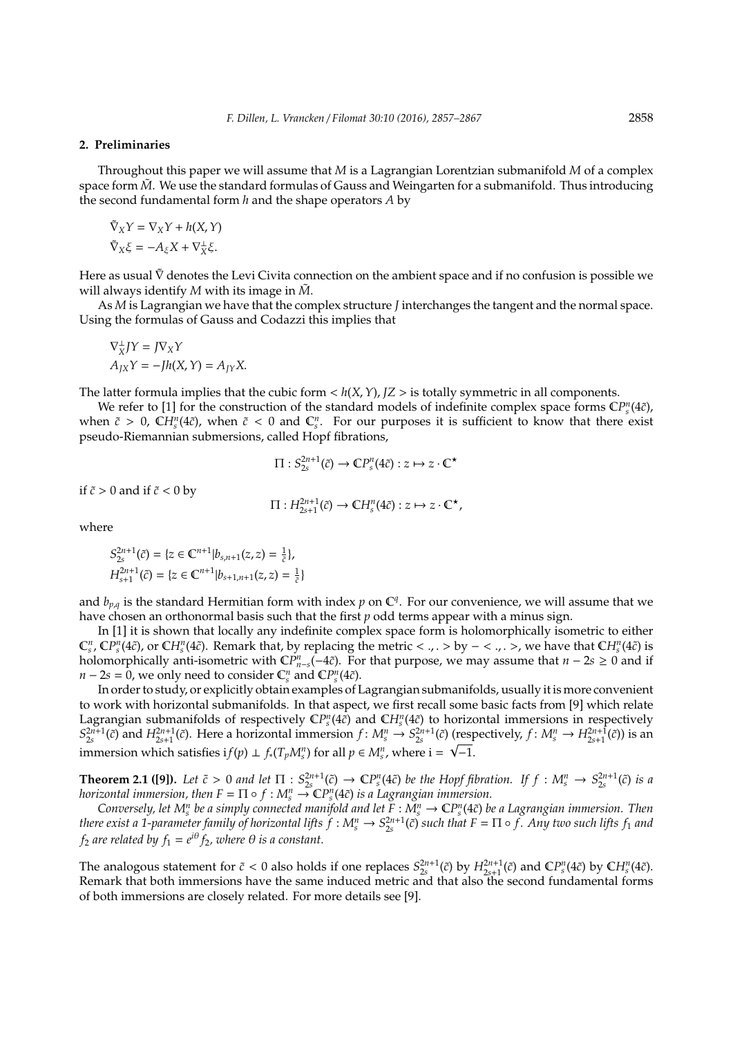#### **2. Preliminaries**

Throughout this paper we will assume that *M* is a Lagrangian Lorentzian submanifold *M* of a complex space form  $\tilde{M}$ . We use the standard formulas of Gauss and Weingarten for a submanifold. Thus introducing the second fundamental form *h* and the shape operators *A* by

$$
\tilde{\nabla}_X Y = \nabla_X Y + h(X, Y)
$$
  

$$
\tilde{\nabla}_X \xi = -A_{\xi} X + \nabla_X^{\perp} \xi.
$$

Here as usual  $\tilde{V}$  denotes the Levi Civita connection on the ambient space and if no confusion is possible we will always identify  $M$  with its image in  $\tilde{M}$ .

As *M* is Lagrangian we have that the complex structure *J* interchanges the tangent and the normal space. Using the formulas of Gauss and Codazzi this implies that

$$
\nabla_{X}^{\perp} JY = J \nabla_{X} Y
$$
  

$$
A_{JX} Y = -Jh(X, Y) = A_{JY} X.
$$

The latter formula implies that the cubic form  $\langle h(X, Y), JZ \rangle$  is totally symmetric in all components.

We refer to [1] for the construction of the standard models of indefinite complex space forms  $\mathbb{CP}_{s}^{n}(4\tilde{c})$ , when  $\tilde{c} > 0$ ,  $\mathbb{C}H_s^n(4\tilde{c})$ , when  $\tilde{c} < 0$  and  $\mathbb{C}_s^n$ . For our purposes it is sufficient to know that there exist pseudo-Riemannian submersions, called Hopf fibrations,

$$
\Pi: S^{2n+1}_{2s}(\tilde{c}) \to \mathbb{C}P^n_s(4\tilde{c}): z \mapsto z \cdot \mathbb{C}^{\star}
$$

if  $\tilde{c} > 0$  and if  $\tilde{c} < 0$  by

$$
\Pi: H^{2n+1}_{2s+1}(\tilde{c}) \to \mathbb{C}H^{n}_{s}(4\tilde{c}): z \mapsto z \cdot \mathbb{C}^{\star},
$$

where

$$
S_{2s}^{2n+1}(\tilde{c}) = \{z \in \mathbb{C}^{n+1} | b_{s,n+1}(z, z) = \frac{1}{\tilde{c}} \},
$$
  

$$
H_{s+1}^{2n+1}(\tilde{c}) = \{z \in \mathbb{C}^{n+1} | b_{s+1,n+1}(z, z) = \frac{1}{\tilde{c}} \}
$$

and  $b_{p,q}$  is the standard Hermitian form with index  $p$  on  $\mathbb{C}^q$ . For our convenience, we will assume that we have chosen an orthonormal basis such that the first *p* odd terms appear with a minus sign.

In [1] it is shown that locally any indefinite complex space form is holomorphically isometric to either  $\mathbb{C}^n_s$ ,  $\mathbb{CP}^n_s(4\tilde{c})$ , or  $\mathbb{C}H^n_s(4\tilde{c})$ . Remark that, by replacing the metric < ., . > by - < ., . >, we have that  $\mathbb{C}H^n_s(4\tilde{c})$  is holomorphically anti-isometric with  $\mathbb{C}P_{n-s}^n(-4\tilde{c})$ . For that purpose, we may assume that  $n-2s \geq 0$  and if  $n - 2s = 0$ , we only need to consider  $\mathbb{C}_s^n$  and  $\mathbb{C}P_s^n(4\tilde{c})$ .

In order to study, or explicitly obtain examples of Lagrangian submanifolds, usually it is more convenient to work with horizontal submanifolds. In that aspect, we first recall some basic facts from [9] which relate Lagrangian submanifolds of respectively  $\mathbb{CP}^n_s(4\tilde{c})$  and  $\mathbb{CP}^n_s(4\tilde{c})$  to horizontal immersions in respectively  $S_{2s}^{2n+1}(\tilde{c})$  and  $H_{2s+1}^{2n+1}(\tilde{c})$ . Here a horizontal immersion  $f: M_s^n \to S_{2s}^{2n+1}(\tilde{c})$  (respectively,  $f: M_s^n \to H_{2s+1}^{2n+1}(\tilde{c})$ ) is an immersion which satisfies  $if(p) \perp f_*(T_pM_s^n)$  for all  $p \in M_s^n$ , where  $i = \sqrt{-1}$ .

**Theorem 2.1 ([9]).** Let  $\tilde{c} > 0$  and let  $\Pi : S_{2s}^{2n+1}(\tilde{c}) \to \mathbb{C}P_s^n(4\tilde{c})$  be the Hopf fibration. If  $f : M_s^n \to S_{2s}^{2n+1}(\tilde{c})$  is a *horizontal immersion, then*  $F = \Pi \circ f : M_s^n \to \mathbb{C}P_s^n(4\tilde{c})$  *is a Lagrangian immersion.* 

Conversely, let  $M_s^n$  be a simply connected manifold and let  $F:\check{M_s^n}\to \mathbb{C}P_s^n(4\tilde{c})$  be a Lagrangian immersion. Then *there exist a 1-parameter family of horizontal lifts*  $f: M_s^n \to S_{2s}^{2n+1}(\tilde{c})$  *such that*  $F = \Pi \circ f$ *. Any two such lifts*  $f_1$  *and*  $f_2$  *are related by*  $f_1 = e^{i\theta} f_2$ *, where*  $\theta$  *is a constant.* 

The analogous statement for  $\tilde{c} < 0$  also holds if one replaces  $S_{2s}^{2n+1}(\tilde{c})$  by  $H_{2s+1}^{2n+1}(\tilde{c})$  and  $\mathbb{C}P_s^n(4\tilde{c})$  by  $\mathbb{C}H_s^n(4\tilde{c})$ . Remark that both immersions have the same induced metric and that also the second fundamental forms of both immersions are closely related. For more details see [9].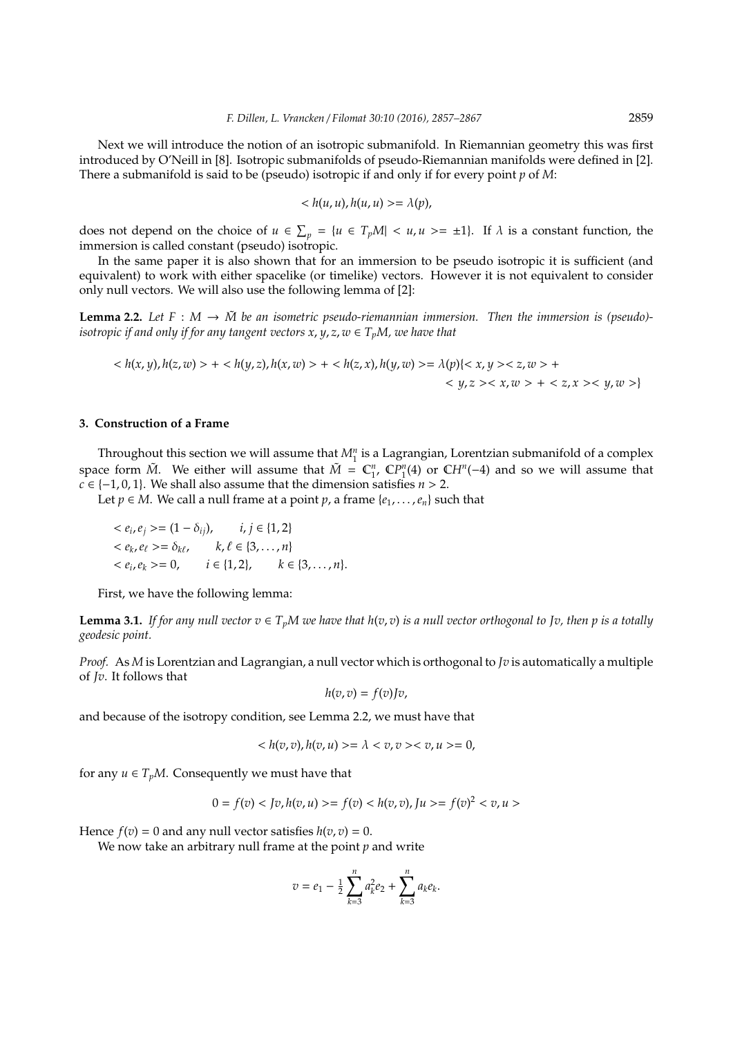Next we will introduce the notion of an isotropic submanifold. In Riemannian geometry this was first introduced by O'Neill in [8]. Isotropic submanifolds of pseudo-Riemannian manifolds were defined in [2]. There a submanifold is said to be (pseudo) isotropic if and only if for every point *p* of *M*:

$$
\langle h(u, u), h(u, u) \rangle = \lambda(p),
$$

does not depend on the choice of  $u \in \sum_p = \{u \in T_pM | u \geq u, u \geq u \leq 1\}$ . If  $\lambda$  is a constant function, the immersion is called constant (pseudo) isotropic.

In the same paper it is also shown that for an immersion to be pseudo isotropic it is sufficient (and equivalent) to work with either spacelike (or timelike) vectors. However it is not equivalent to consider only null vectors. We will also use the following lemma of [2]:

**Lemma 2.2.** Let  $F : M \to \tilde{M}$  be an isometric pseudo-riemannian immersion. Then the immersion is (pseudo)*isotropic if and only if for any tangent vectors*  $x, y, z, w \in T_pM$ *, we have that* 

$$
\langle h(x, y), h(z, w) \rangle + \langle h(y, z), h(x, w) \rangle + \langle h(z, x), h(y, w) \rangle = \lambda(p) \langle x, y \rangle \langle z, w \rangle + \langle y, z \rangle \langle x, w \rangle + \langle z, x \rangle \langle y, w \rangle
$$

## **3. Construction of a Frame**

Throughout this section we will assume that  $M_1^n$  is a Lagrangian, Lorentzian submanifold of a complex space form  $\tilde{M}$ . We either will assume that  $\tilde{M} = \mathbb{C}^n_1$ ,  $\mathbb{C}P^n_1(4)$  or  $\mathbb{C}H^n(-4)$  and so we will assume that *c* ∈ {-1, 0, 1}. We shall also assume that the dimension satisfies  $n > 2$ .

Let *p* ∈ *M*. We call a null frame at a point *p*, a frame { $e_1$ , . . . ,  $e_n$ } such that

$$
\langle e_i, e_j \rangle = (1 - \delta_{ij}), \qquad i, j \in \{1, 2\} \langle e_k, e_\ell \rangle = \delta_{k\ell}, \qquad k, \ell \in \{3, ..., n\} \langle e_i, e_k \rangle = 0, \qquad i \in \{1, 2\}, \qquad k \in \{3, ..., n\}.
$$

First, we have the following lemma:

**Lemma 3.1.** *If for any null vector*  $v \in T_pM$  *we have that*  $h(v, v)$  *is a null vector orthogonal to Jv, then p is a totally geodesic point.*

*Proof.* As *M* is Lorentzian and Lagrangian, a null vector which is orthogonal to *Jv* is automatically a multiple of *Jv*. It follows that

$$
h(v,v)=f(v)Jv,
$$

and because of the isotropy condition, see Lemma 2.2, we must have that

$$
\langle h(v, v), h(v, u) \rangle = \lambda < v, v \rangle < v, u \rangle = 0,
$$

for any  $u \in T_pM$ . Consequently we must have that

$$
0 = f(v) < Jv, h(v, u) > = f(v) < h(v, v), Ju > = f(v)^2 < v, u > = f(v)
$$

Hence  $f(v) = 0$  and any null vector satisfies  $h(v, v) = 0$ .

We now take an arbitrary null frame at the point *p* and write

$$
v = e_1 - \frac{1}{2} \sum_{k=3}^{n} a_k^2 e_2 + \sum_{k=3}^{n} a_k e_k.
$$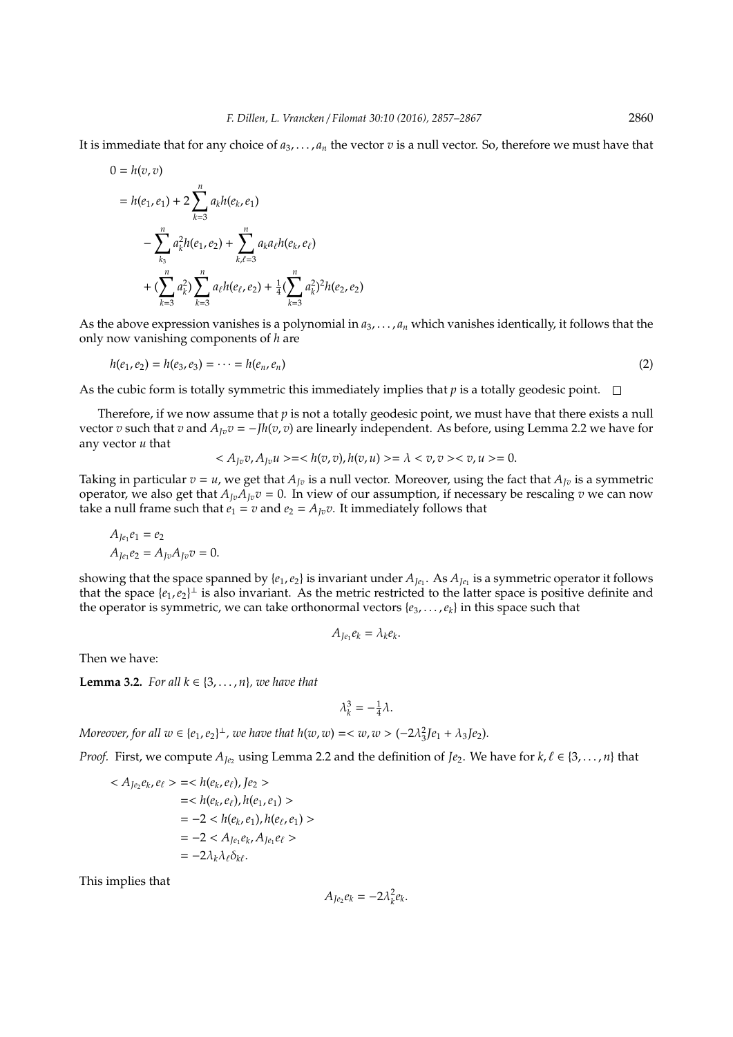It is immediate that for any choice of  $a_3, \ldots, a_n$  the vector  $v$  is a null vector. So, therefore we must have that

$$
0 = h(v, v)
$$
  
=  $h(e_1, e_1) + 2 \sum_{k=3}^{n} a_k h(e_k, e_1)$   

$$
- \sum_{k_3}^{n} a_k^2 h(e_1, e_2) + \sum_{k,\ell=3}^{n} a_k a_\ell h(e_k, e_\ell)
$$
  
+ 
$$
(\sum_{k=3}^{n} a_k^2) \sum_{k=3}^{n} a_\ell h(e_\ell, e_2) + \frac{1}{4} (\sum_{k=3}^{n} a_k^2)^2 h(e_2, e_2)
$$

As the above expression vanishes is a polynomial in *a*3, . . . , *a<sup>n</sup>* which vanishes identically, it follows that the only now vanishing components of *h* are

$$
h(e_1, e_2) = h(e_3, e_3) = \dots = h(e_n, e_n)
$$
\n(2)

As the cubic form is totally symmetric this immediately implies that *p* is a totally geodesic point.  $\Box$ 

Therefore, if we now assume that *p* is not a totally geodesic point, we must have that there exists a null vector *v* such that *v* and  $A_{Iv}v = -Jh(v, v)$  are linearly independent. As before, using Lemma 2.2 we have for any vector *u* that

$$
\langle A_{Jv}v, A_{Jv}u \rangle = \langle h(v, v), h(v, u) \rangle = \lambda \langle v, v \rangle \langle v, u \rangle = 0.
$$

Taking in particular  $v = u$ , we get that  $A_{Jv}$  is a null vector. Moreover, using the fact that  $A_{Jv}$  is a symmetric operator, we also get that  $A_{Iv}A_{Iv}v = 0$ . In view of our assumption, if necessary be rescaling *v* we can now take a null frame such that  $e_1 = v$  and  $e_2 = A_{Iv}v$ . It immediately follows that

$$
A_{Je_1}e_1 = e_2
$$
  
\n
$$
A_{Je_1}e_2 = A_{Jv}A_{Jv}v = 0.
$$

showing that the space spanned by  $\{e_1, e_2\}$  is invariant under  $A_{Je_1}$ . As  $A_{Je_1}$  is a symmetric operator it follows that the space  $\{e_1, e_2\}^{\perp}$  is also invariant. As the metric restricted to the latter space is positive definite and the operator is symmetric, we can take orthonormal vectors  $\{e_3, \ldots, e_k\}$  in this space such that

$$
A_{Je_1}e_k=\lambda_ke_k.
$$

Then we have:

**Lemma 3.2.** *For all*  $k \in \{3, \ldots, n\}$ *, we have that* 

$$
\lambda_k^3 = -\frac{1}{4}\lambda.
$$

*Moreover, for all*  $w \in \{e_1, e_2\}^{\perp}$ , we have that  $h(w, w) = \langle w, w \rangle = (-2\lambda_3^2]e_1 + \lambda_3 Je_2$ .

*Proof.* First, we compute  $A_{Je_2}$  using Lemma 2.2 and the definition of *Je*<sub>2</sub>. We have for  $k, \ell \in \{3, ..., n\}$  that

$$
\langle A_{Je_2}e_k, e_\ell \rangle = \langle h(e_k, e_\ell), Je_2 \rangle
$$
  
= $h(e_k, e_\ell), h(e_1, e_1) \rangle$   
=-2 $h(e_k, e_1), h(e_\ell, e_1) \rangle$   
=-2 $h(e_k, e_k, A_{Je_1}e_\ell \rangle$   
=-2 $\lambda_k \lambda_\ell \delta_{k\ell}.$ 

This implies that

 $A_{Je_2}e_k = -2\lambda_k^2e_k$ .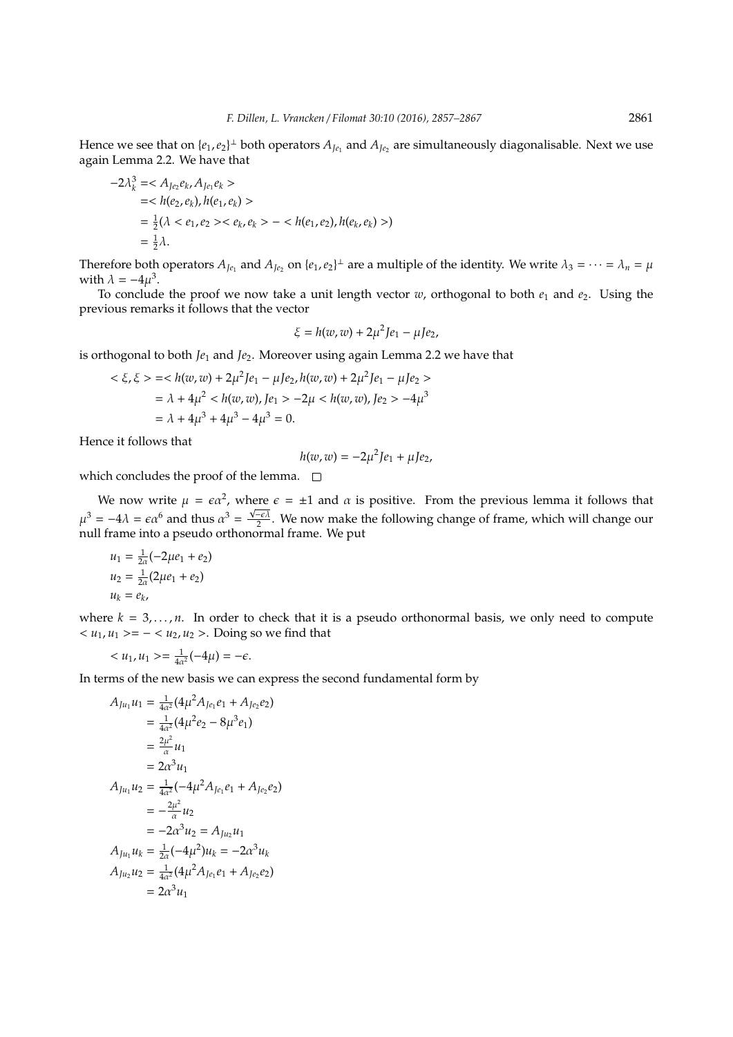Hence we see that on  $\{e_1, e_2\}^{\perp}$  both operators  $A_{Je_1}$  and  $A_{Je_2}$  are simultaneously diagonalisable. Next we use again Lemma 2.2. We have that

$$
-2\lambda_k^3 = \langle A_{Je_2}e_k, A_{Je_1}e_k \rangle
$$
  
=  $\langle h(e_2, e_k), h(e_1, e_k) \rangle$   
=  $\frac{1}{2}(\lambda < e_1, e_2) \langle e_k, e_k \rangle - \langle h(e_1, e_2), h(e_k, e_k) \rangle$   
=  $\frac{1}{2}\lambda$ .

Therefore both operators  $A_{Je_1}$  and  $A_{Je_2}$  on  $\{e_1, e_2\}^\perp$  are a multiple of the identity. We write  $\lambda_3 = \cdots = \lambda_n = \mu$ with  $\lambda = -4\mu^3$ .

To conclude the proof we now take a unit length vector  $w$ , orthogonal to both  $e_1$  and  $e_2$ . Using the previous remarks it follows that the vector

$$
\xi = h(w,w) + 2\mu^2 Je_1 - \mu Je_2,
$$

is orthogonal to both *Je*<sup>1</sup> and *Je*2. Moreover using again Lemma 2.2 we have that

$$
\langle \xi, \xi \rangle = \langle h(w, w) + 2\mu^2 J e_1 - \mu J e_2, h(w, w) + 2\mu^2 J e_1 - \mu J e_2 \rangle
$$
  
=  $\lambda + 4\mu^2 \langle h(w, w), J e_1 \rangle - 2\mu \langle h(w, w), J e_2 \rangle - 4\mu^3$   
=  $\lambda + 4\mu^3 + 4\mu^3 - 4\mu^3 = 0.$ 

Hence it follows that

$$
h(w, w) = -2\mu^2 J e_1 + \mu J e_2,
$$

which concludes the proof of the lemma.  $\square$ 

We now write  $\mu = \epsilon \alpha^2$ , where  $\epsilon = \pm 1$  and  $\alpha$  is positive. From the previous lemma it follows that  $\mu^3 = -4\lambda = \epsilon \alpha^6$  and thus  $\alpha^3 = \frac{\sqrt{-\epsilon \lambda}}{2}$ . We now make the following change of frame, which will change our null frame into a pseudo orthonormal frame. We put

$$
u_1 = \frac{1}{2\alpha}(-2\mu e_1 + e_2)
$$
  
\n
$$
u_2 = \frac{1}{2\alpha}(2\mu e_1 + e_2)
$$
  
\n
$$
u_k = e_k
$$

where  $k = 3, \ldots, n$ . In order to check that it is a pseudo orthonormal basis, we only need to compute  $u<sub>1</sub>, *u*<sub>1</sub> >= - *u*<sub>2</sub>, *u*<sub>2</sub> >. Doing so we find that$ </u>

$$
\langle u_1, u_1 \rangle = \frac{1}{4\alpha^2}(-4\mu) = -\epsilon.
$$

In terms of the new basis we can express the second fundamental form by

$$
A_{Ju_1}u_1 = \frac{1}{4\alpha^2}(4\mu^2 A_{Je_1}e_1 + A_{Je_2}e_2)
$$
  
\n
$$
= \frac{1}{4\alpha^2}(4\mu^2 e_2 - 8\mu^3 e_1)
$$
  
\n
$$
= \frac{2\mu^2}{\alpha}u_1
$$
  
\n
$$
= 2\alpha^3 u_1
$$
  
\n
$$
A_{Ju_1}u_2 = \frac{1}{4\alpha^2}(-4\mu^2 A_{Je_1}e_1 + A_{Je_2}e_2)
$$
  
\n
$$
= -\frac{2\mu^2}{\alpha}u_2
$$
  
\n
$$
= -2\alpha^3 u_2 = A_{Ju_2}u_1
$$
  
\n
$$
A_{Ju_1}u_k = \frac{1}{2\alpha}(-4\mu^2)u_k = -2\alpha^3 u_k
$$
  
\n
$$
A_{Ju_2}u_2 = \frac{1}{4\alpha^2}(4\mu^2 A_{Je_1}e_1 + A_{Je_2}e_2)
$$
  
\n
$$
= 2\alpha^3 u_1
$$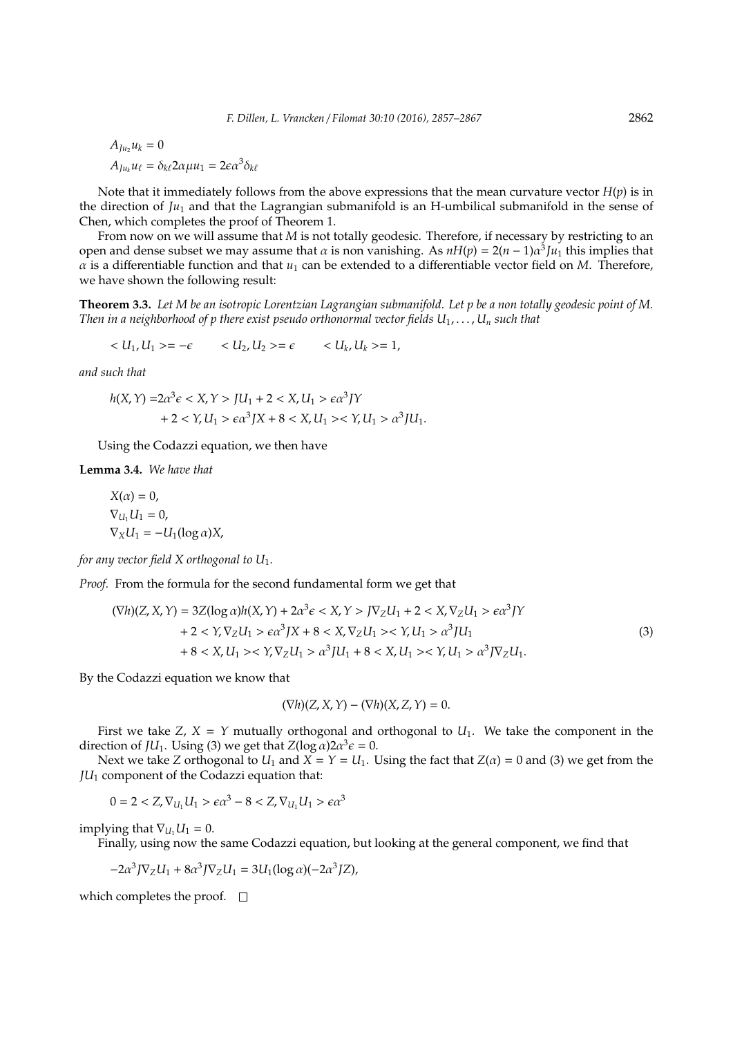$A_{I}u_2u_k = 0$  $A_{Ju_k}u_\ell = \delta_{k\ell} 2\alpha \mu u_1 = 2\epsilon \alpha^3 \delta_{k\ell}$ 

Note that it immediately follows from the above expressions that the mean curvature vector *H*(*p*) is in the direction of *Ju*<sup>1</sup> and that the Lagrangian submanifold is an H-umbilical submanifold in the sense of Chen, which completes the proof of Theorem 1.

From now on we will assume that *M* is not totally geodesic. Therefore, if necessary by restricting to an open and dense subset we may assume that  $\alpha$  is non vanishing. As  $nH(p) = 2(n-1)\alpha^3 J u_1$  this implies that  $\alpha$  is a differentiable function and that  $u_1$  can be extended to a differentiable vector field on *M*. Therefore, we have shown the following result:

**Theorem 3.3.** *Let M be an isotropic Lorentzian Lagrangian submanifold. Let p be a non totally geodesic point of M. Then in a neighborhood of p there exist pseudo orthonormal vector fields*  $U_1, \ldots, U_n$  *such that* 

$$
\langle U_1, U_1 \rangle = -\epsilon \qquad \langle U_2, U_2 \rangle = \epsilon \qquad \langle U_k, U_k \rangle = 1,
$$

*and such that*

$$
h(X,Y) = 2\alpha^3 \epsilon < X, Y > JU_1 + 2 < X, U_1 > \epsilon \alpha^3 JY
$$
\n
$$
+ 2 < Y, U_1 > \epsilon \alpha^3 JX + 8 < X, U_1 > \epsilon \alpha^3 JU_1.
$$

Using the Codazzi equation, we then have

**Lemma 3.4.** *We have that*

$$
X(\alpha) = 0,
$$
  
\n
$$
\nabla_{U_1} U_1 = 0,
$$
  
\n
$$
\nabla_X U_1 = -U_1(\log \alpha)X,
$$

*for any vector field X orthogonal to U*1*.*

*Proof.* From the formula for the second fundamental form we get that

$$
(\nabla h)(Z, X, Y) = 3Z(\log \alpha)h(X, Y) + 2\alpha^3 \epsilon < X, Y > J\nabla_Z U_1 + 2 < X, \nabla_Z U_1 > \epsilon \alpha^3 JY
$$
\n
$$
+ 2 < Y, \nabla_Z U_1 > \epsilon \alpha^3 JX + 8 < X, \nabla_Z U_1 > \epsilon \gamma, U_1 > \alpha^3 J U_1
$$
\n
$$
+ 8 < X, U_1 > \epsilon \gamma, \nabla_Z U_1 > \alpha^3 J U_1 + 8 < X, U_1 > \epsilon \gamma, U_1 > \alpha^3 J \nabla_Z U_1. \tag{3}
$$

By the Codazzi equation we know that

$$
(\nabla h)(Z, X, Y) - (\nabla h)(X, Z, Y) = 0.
$$

First we take *Z*,  $X = Y$  mutually orthogonal and orthogonal to  $U_1$ . We take the component in the direction of *JU*<sub>1</sub>. Using (3) we get that  $Z(\log \alpha)2\alpha^3 \epsilon = 0$ .

Next we take *Z* orthogonal to  $U_1$  and  $X = Y = U_1$ . Using the fact that  $Z(\alpha) = 0$  and (3) we get from the *JU*<sup>1</sup> component of the Codazzi equation that:

$$
0=2\epsilon\alpha^3-8\epsilon\alpha^3
$$

implying that  $\nabla_{U_1} U_1 = 0$ .

Finally, using now the same Codazzi equation, but looking at the general component, we find that

$$
-2\alpha^3 J \nabla_Z U_1 + 8\alpha^3 J \nabla_Z U_1 = 3U_1(\log \alpha)(-2\alpha^3 JZ),
$$

which completes the proof.  $\square$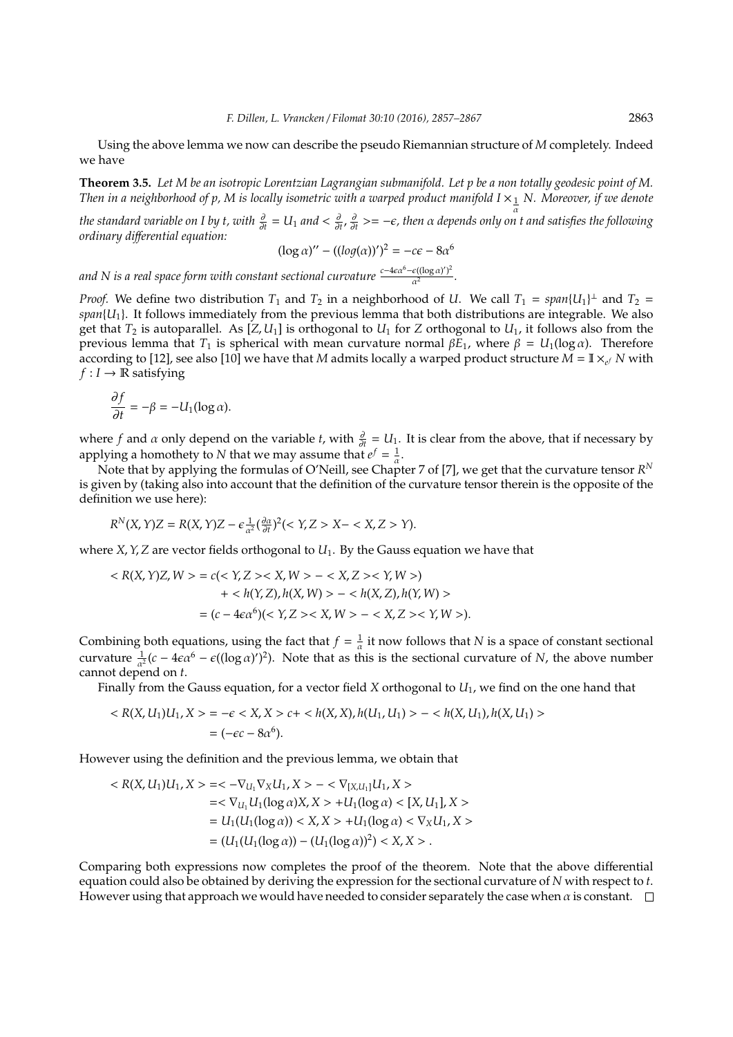Using the above lemma we now can describe the pseudo Riemannian structure of *M* completely. Indeed we have

**Theorem 3.5.** *Let M be an isotropic Lorentzian Lagrangian submanifold. Let p be a non totally geodesic point of M. Then in a neighborhood of p, M is locally isometric with a warped product manifold I*  $\times_{\frac{1}{\alpha}} N$ . Moreover, if we denote

*the standard variable on I by t, with*  $\frac{\partial}{\partial t}$  = U<sub>1</sub> and <  $\frac{\partial}{\partial t}$ ,  $\frac{\partial}{\partial t}$  >= − $\epsilon$ , then α depends only on t and satisfies the following *ordinary di*ff*erential equation:*

$$
(\log \alpha)'' - ((\log(\alpha))')^2 = -c\epsilon - 8\alpha^6
$$

*and N is a real space form with constant sectional curvature*  $\frac{c-4\epsilon\alpha^6 - \epsilon((\log\alpha\gamma)^2)}{\alpha^2}$  $\frac{e(\log u)}{a^2}$ .

*Proof.* We define two distribution  $T_1$  and  $T_2$  in a neighborhood of *U*. We call  $T_1 = span{U_1}^{\perp}$  and  $T_2 =$  $span{U_1}$ . It follows immediately from the previous lemma that both distributions are integrable. We also get that  $T_2$  is autoparallel. As  $[Z, U_1]$  is orthogonal to  $U_1$  for  $Z$  orthogonal to  $U_1$ , it follows also from the previous lemma that *T*<sub>1</sub> is spherical with mean curvature normal  $βE_1$ , where  $β = U_1(log α)$ . Therefore according to [12], see also [10] we have that *M* admits locally a warped product structure  $\bar{M} = \mathbb{I} \times_{e^f} N$  with  $f: I \to \mathbb{R}$  satisfying

$$
\frac{\partial f}{\partial t} = -\beta = -U_1(\log \alpha).
$$

where *f* and  $\alpha$  only depend on the variable *t*, with  $\frac{\partial}{\partial t} = U_1$ . It is clear from the above, that if necessary by applying a homothety to *N* that we may assume that  $e^f = \frac{1}{a}$ .

Note that by applying the formulas of O'Neill, see Chapter 7 of [7], we get that the curvature tensor *R N* is given by (taking also into account that the definition of the curvature tensor therein is the opposite of the definition we use here):

$$
R^{N}(X,Y)Z = R(X,Y)Z - \epsilon \frac{1}{\alpha^{2}} \left(\frac{\partial \alpha}{\partial t}\right)^{2} \left(\langle X,Z \rangle X - \langle X,Z \rangle Y\right).
$$

where *X*,  $Y$ ,  $Z$  are vector fields orthogonal to  $U_1$ . By the Gauss equation we have that

$$
\langle R(X, Y)Z, W \rangle = c \langle \langle Y, Z \rangle \langle X, W \rangle - \langle X, Z \rangle \langle Y, W \rangle)
$$
  
+ 
$$
\langle h(Y, Z), h(X, W) \rangle - \langle h(X, Z), h(Y, W) \rangle
$$
  
= 
$$
(c - 4\epsilon \alpha^6)(\langle Y, Z \rangle \langle X, W \rangle - \langle X, Z \rangle \langle Y, W \rangle).
$$

Combining both equations, using the fact that  $f = \frac{1}{\alpha}$  it now follows that *N* is a space of constant sectional curvature  $\frac{1}{\alpha^2}(c - 4\epsilon\alpha^6 - \epsilon((\log \alpha)^r)^2)$ . Note that as this is the sectional curvature of *N*, the above number cannot depend on *t*.

Finally from the Gauss equation, for a vector field *X* orthogonal to *U*1, we find on the one hand that

$$
\langle R(X, U_1)U_1, X \rangle = -\epsilon \langle X, X \rangle \langle c + \langle h(X, X), h(U_1, U_1) \rangle - \langle h(X, U_1), h(X, U_1) \rangle
$$
  
=  $(-\epsilon c - 8\alpha^6).$ 

However using the definition and the previous lemma, we obtain that

$$
\langle R(X, U_1)U_1, X \rangle = \langle -\nabla_{U_1}\nabla_X U_1, X \rangle - \langle \nabla_{[X, U_1]} U_1, X \rangle
$$
  
\n
$$
= \langle \nabla_{U_1} U_1(\log \alpha) X, X \rangle + U_1(\log \alpha) \langle [X, U_1], X \rangle
$$
  
\n
$$
= U_1(U_1(\log \alpha)) \langle X, X \rangle + U_1(\log \alpha) \langle \nabla_X U_1, X \rangle
$$
  
\n
$$
= (U_1(U_1(\log \alpha)) - (U_1(\log \alpha))^2) \langle X, X \rangle.
$$

Comparing both expressions now completes the proof of the theorem. Note that the above differential equation could also be obtained by deriving the expression for the sectional curvature of *N* with respect to *t*. However using that approach we would have needed to consider separately the case when  $\alpha$  is constant.  $\Box$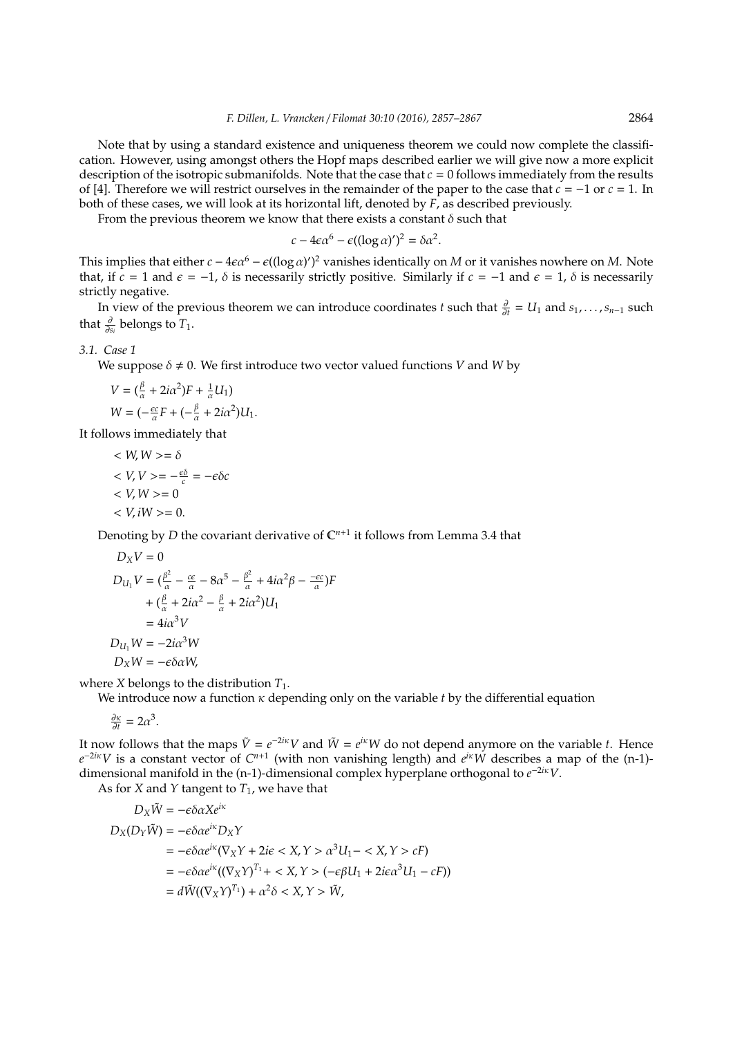Note that by using a standard existence and uniqueness theorem we could now complete the classification. However, using amongst others the Hopf maps described earlier we will give now a more explicit description of the isotropic submanifolds. Note that the case that *c* = 0 follows immediately from the results of [4]. Therefore we will restrict ourselves in the remainder of the paper to the case that *c* = −1 or *c* = 1. In both of these cases, we will look at its horizontal lift, denoted by *F*, as described previously.

From the previous theorem we know that there exists a constant  $\delta$  such that

$$
c - 4\epsilon \alpha^6 - \epsilon ((\log \alpha)')^2 = \delta \alpha^2.
$$

This implies that either  $c - 4\epsilon \alpha^6 - \epsilon ((\log \alpha)')^2$  vanishes identically on *M* or it vanishes nowhere on *M*. Note that, if  $c = 1$  and  $\epsilon = -1$ ,  $\delta$  is necessarily strictly positive. Similarly if  $c = -1$  and  $\epsilon = 1$ ,  $\delta$  is necessarily strictly negative.

In view of the previous theorem we can introduce coordinates *t* such that  $\frac{\partial}{\partial t} = U_1$  and  $s_1, \ldots, s_{n-1}$  such that  $\frac{\partial}{\partial s_i}$  belongs to  $T_1$ .

### *3.1. Case 1*

We suppose  $\delta \neq 0$ . We first introduce two vector valued functions *V* and *W* by

$$
V = \left(\frac{\beta}{\alpha} + 2i\alpha^2\right)F + \frac{1}{\alpha}U_1
$$
  
 
$$
W = \left(-\frac{\epsilon c}{\alpha}F + \left(-\frac{\beta}{\alpha} + 2i\alpha^2\right)U_1\right).
$$

It follows immediately that

$$
\langle W, W \rangle = \delta
$$
  
\n
$$
\langle V, V \rangle = -\frac{\epsilon \delta}{c} = -\epsilon \delta c
$$
  
\n
$$
\langle V, W \rangle = 0
$$
  
\n
$$
\langle V, iW \rangle = 0.
$$

Denoting by *D* the covariant derivative of  $\mathbb{C}^{n+1}$  it follows from Lemma 3.4 that

$$
D_X V = 0
$$
  
\n
$$
D_{U_1} V = (\frac{\beta^2}{\alpha} - \frac{c\epsilon}{\alpha} - 8\alpha^5 - \frac{\beta^2}{\alpha} + 4i\alpha^2 \beta - \frac{-c\epsilon}{\alpha})F
$$
  
\n
$$
+ (\frac{\beta}{\alpha} + 2i\alpha^2 - \frac{\beta}{\alpha} + 2i\alpha^2)U_1
$$
  
\n
$$
= 4i\alpha^3 V
$$
  
\n
$$
D_{U_1} W = -2i\alpha^3 W
$$
  
\n
$$
D_X W = -\epsilon \delta \alpha W,
$$

where *X* belongs to the distribution *T*1.

We introduce now a function κ depending only on the variable *t* by the differential equation

$$
\frac{\partial \kappa}{\partial t} = 2\alpha^3.
$$

It now follows that the maps  $\tilde{V} = e^{-2i\kappa}V$  and  $\tilde{W} = e^{i\kappa}W$  do not depend anymore on the variable *t*. Hence  $e^{-2i\kappa}V$  is a constant vector of  $C^{n+1}$  (with non vanishing length) and  $e^{i\kappa}W$  describes a map of the (n-1)dimensional manifold in the (n-1)-dimensional complex hyperplane orthogonal to  $e^{-2i\kappa}V$ .

As for *X* and *Y* tangent to  $T_1$ , we have that

$$
D_X\tilde{W} = -\epsilon \delta \alpha X e^{i\kappa}
$$
  
\n
$$
D_X(D_Y\tilde{W}) = -\epsilon \delta \alpha e^{i\kappa} D_XY
$$
  
\n
$$
= -\epsilon \delta \alpha e^{i\kappa} (\nabla_X Y + 2i\epsilon < X, Y > \alpha^3 U_1 - \langle X, Y \rangle cF)
$$
  
\n
$$
= -\epsilon \delta \alpha e^{i\kappa} ((\nabla_X Y)^{T_1} + \langle X, Y \rangle (-\epsilon \beta U_1 + 2i\epsilon \alpha^3 U_1 - cF))
$$
  
\n
$$
= d\tilde{W}((\nabla_X Y)^{T_1}) + \alpha^2 \delta < X, Y > \tilde{W},
$$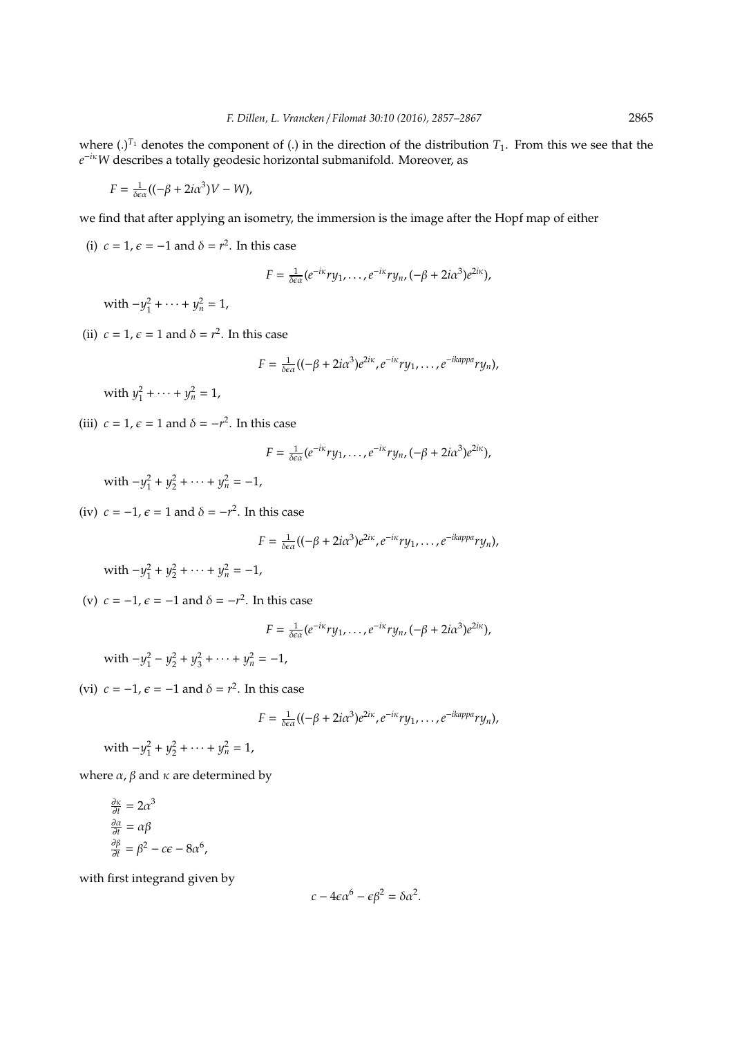where  $(.)^{T_1}$  denotes the component of  $(.)$  in the direction of the distribution  $T_1$ . From this we see that the *e* <sup>−</sup>*i*κ*W* describes a totally geodesic horizontal submanifold. Moreover, as

$$
F = \frac{1}{\delta \epsilon \alpha} ((-\beta + 2i\alpha^3)V - W),
$$

we find that after applying an isometry, the immersion is the image after the Hopf map of either

(i)  $c = 1$ ,  $\epsilon = -1$  and  $\delta = r^2$ . In this case

$$
F=\tfrac{1}{\delta\epsilon\alpha}(e^{-i\kappa}ry_1,\ldots,e^{-i\kappa}ry_n,(-\beta+2i\alpha^3)e^{2i\kappa}),
$$

with  $-y_1^2 + \cdots + y_n^2 = 1$ ,

(ii)  $c = 1$ ,  $\epsilon = 1$  and  $\delta = r^2$ . In this case

$$
F=\frac{1}{\delta\epsilon\alpha}((-\beta+2i\alpha^3)e^{2i\kappa},e^{-i\kappa}ry_1,\ldots,e^{-ikappa}ry_n),
$$

with  $y_1^2 + \cdots + y_n^2 = 1$ ,

(iii)  $c = 1$ ,  $\epsilon = 1$  and  $\delta = -r^2$ . In this case

$$
F=\tfrac{1}{\delta\epsilon\alpha}(e^{-i\kappa}ry_1,\ldots,e^{-i\kappa}ry_n,(-\beta+2i\alpha^3)e^{2i\kappa}),
$$

with  $-y_1^2 + y_2^2 + \cdots + y_n^2 = -1$ ,

(iv)  $c = -1$ ,  $\epsilon = 1$  and  $\delta = -r^2$ . In this case

$$
F = \frac{1}{\delta \epsilon \alpha} ((-\beta + 2i\alpha^3)e^{2i\kappa}, e^{-i\kappa}ry_1, \ldots, e^{-ikappa}ry_n),
$$

with 
$$
-y_1^2 + y_2^2 + \cdots + y_n^2 = -1
$$
,

(v)  $c = -1$ ,  $\epsilon = -1$  and  $\delta = -r^2$ . In this case

$$
F=\tfrac{1}{\delta\epsilon\alpha}(e^{-i\kappa}ry_1,\ldots,e^{-i\kappa}ry_n,(-\beta+2i\alpha^3)e^{2i\kappa}),
$$

 $\text{with } -y_1^2 - y_2^2 + y_3^2 + \dots + y_n^2 = -1,$ 

(vi)  $c = -1$ ,  $\epsilon = -1$  and  $\delta = r^2$ . In this case

$$
F = \frac{1}{\delta \epsilon \alpha} ((-\beta + 2i\alpha^3)e^{2i\kappa}, e^{-i\kappa} ry_1, \ldots, e^{-ikappa} ry_n),
$$

with  $-y_1^2 + y_2^2 + \cdots + y_n^2 = 1$ ,

where  $\alpha$ ,  $\beta$  and  $\kappa$  are determined by

$$
\frac{\partial \kappa}{\partial t} = 2\alpha^3
$$

$$
\frac{\partial \alpha}{\partial t} = \alpha \beta
$$

$$
\frac{\partial \beta}{\partial t} = \beta^2 - c\epsilon - 8\alpha^6,
$$

with first integrand given by

$$
c - 4\epsilon \alpha^6 - \epsilon \beta^2 = \delta \alpha^2.
$$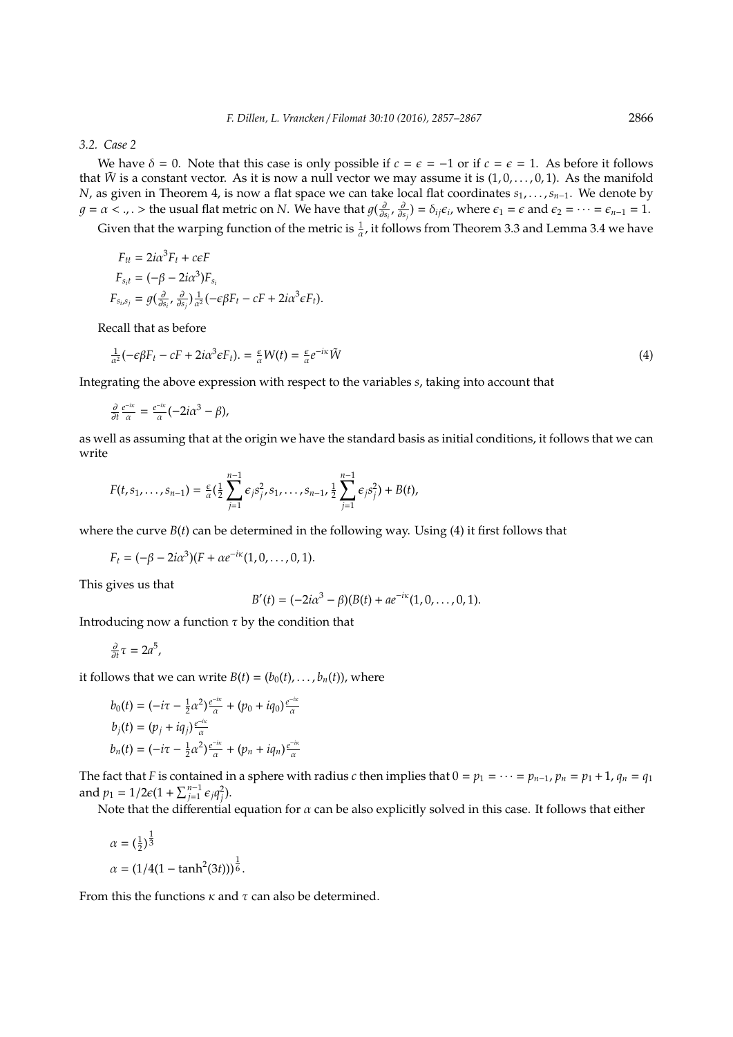#### *3.2. Case 2*

We have  $\delta = 0$ . Note that this case is only possible if  $c = \epsilon = -1$  or if  $c = \epsilon = 1$ . As before it follows that  $\tilde{W}$  is a constant vector. As it is now a null vector we may assume it is  $(1, 0, \ldots, 0, 1)$ . As the manifold *N*, as given in Theorem 4, is now a flat space we can take local flat coordinates *s*<sub>1</sub>, . . . , *s*<sub>*n*−1</sub>. We denote by  $g = \alpha < .$ ,  $\Rightarrow$  the usual flat metric on *N*. We have that  $g(\frac{\partial}{\partial s_i}, \frac{\partial}{\partial s_j}) = \delta_{ij}\epsilon_i$ , where  $\epsilon_1 = \epsilon$  and  $\epsilon_2 = \cdots = \epsilon_{n-1} = 1$ .

Given that the warping function of the metric is  $\frac{1}{\alpha}$ , it follows from Theorem 3.3 and Lemma 3.4 we have

$$
F_{tt} = 2i\alpha^3 F_t + c\epsilon F
$$
  
\n
$$
F_{s_it} = (-\beta - 2i\alpha^3) F_{s_i}
$$
  
\n
$$
F_{s_i,s_j} = g(\frac{\partial}{\partial s_i}, \frac{\partial}{\partial s_j}) \frac{1}{\alpha^2} (-\epsilon \beta F_t - cF + 2i\alpha^3 \epsilon F_t).
$$

Recall that as before

$$
\frac{1}{\alpha^2}(-\epsilon \beta F_t - cF + 2i\alpha^3 \epsilon F_t) = \frac{\epsilon}{\alpha}W(t) = \frac{\epsilon}{\alpha}e^{-i\kappa}\tilde{W}
$$
\n(4)

Integrating the above expression with respect to the variables *s*, taking into account that

$$
\frac{\partial}{\partial t}\frac{e^{-ix}}{\alpha}=\frac{e^{-ix}}{\alpha}(-2i\alpha^3-\beta),
$$

as well as assuming that at the origin we have the standard basis as initial conditions, it follows that we can write

$$
F(t,s_1,\ldots,s_{n-1})=\frac{\epsilon}{\alpha}(\frac{1}{2}\sum_{j=1}^{n-1}\epsilon_js_j^2,s_1,\ldots,s_{n-1},\frac{1}{2}\sum_{j=1}^{n-1}\epsilon_js_j^2)+B(t),
$$

where the curve  $B(t)$  can be determined in the following way. Using (4) it first follows that

$$
F_t = (-\beta - 2i\alpha^3)(F + \alpha e^{-i\kappa}(1,0,\ldots,0,1).
$$

This gives us that

$$
B'(t) = (-2i\alpha^3 - \beta)(B(t) + a e^{-i\kappa}(1, 0, \dots, 0, 1).
$$

Introducing now a function  $\tau$  by the condition that

$$
\frac{\partial}{\partial t}\tau=2a^5,
$$

it follows that we can write  $B(t) = (b_0(t), \ldots, b_n(t))$ , where

$$
b_0(t) = \left(-i\tau - \frac{1}{2}\alpha^2\right)\frac{e^{-ix}}{\alpha} + \left(p_0 + iq_0\right)\frac{e^{-ix}}{\alpha}
$$
  
\n
$$
b_j(t) = \left(p_j + iq_j\right)\frac{e^{-ix}}{\alpha}
$$
  
\n
$$
b_n(t) = \left(-i\tau - \frac{1}{2}\alpha^2\right)\frac{e^{-ix}}{\alpha} + \left(p_n + iq_n\right)\frac{e^{-ix}}{\alpha}
$$

The fact that *F* is contained in a sphere with radius *c* then implies that  $0 = p_1 = \cdots = p_{n-1}, p_n = p_1 + 1, q_n = q_1$ and  $p_1 = 1/2\epsilon(1 + \sum_{j=1}^{n-1} \epsilon_j q_j^2)$ .

Note that the differential equation for  $\alpha$  can be also explicitly solved in this case. It follows that either

$$
\alpha = \left(\frac{1}{2}\right)^{\frac{1}{3}}
$$

$$
\alpha = \left(1/4(1 - \tanh^2(3t))\right)^{\frac{1}{6}}.
$$

From this the functions  $\kappa$  and  $\tau$  can also be determined.